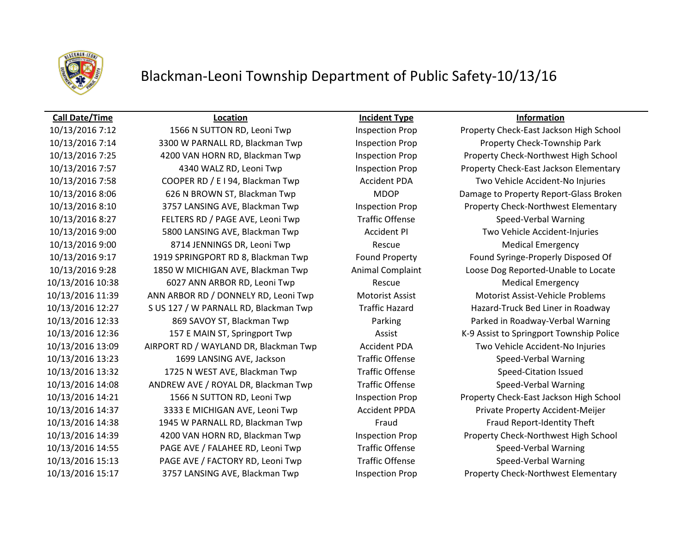

### **Call Date/Time Location Incident Type Information**

10/13/2016 7:14 3300 W PARNALL RD, Blackman Twp Inspection Prop Property Check-Township Park 10/13/2016 7:25 4200 VAN HORN RD, Blackman Twp Inspection Prop Property Check-Northwest High School 10/13/2016 7:58 COOPER RD / E I 94, Blackman Twp Accident PDA Two Vehicle Accident-No Injuries 10/13/2016 8:10 3757 LANSING AVE, Blackman Twp Inspection Prop Property Check-Northwest Elementary 10/13/2016 8:27 FELTERS RD / PAGE AVE, Leoni Twp Traffic Offense Speed-Verbal Warning 10/13/2016 9:00 5800 LANSING AVE, Blackman Twp Accident PI Two Vehicle Accident-Injuries 10/13/2016 9:00 8714 JENNINGS DR, Leoni Twp Rescue Rescue Medical Emergency 10/13/2016 9:17 1919 SPRINGPORT RD 8, Blackman Twp Found Property Found Syringe-Properly Disposed Of 10/13/2016 9:28 1850 W MICHIGAN AVE, Blackman Twp Animal Complaint Loose Dog Reported-Unable to Locate 10/13/2016 10:38 6027 ANN ARBOR RD, Leoni Twp Rescue Rescue Medical Emergency 10/13/2016 11:39 ANN ARBOR RD / DONNELY RD, Leoni Twp Motorist Assist Motorist Assist-Vehicle Problems 10/13/2016 12:27 S US 127 / W PARNALL RD, Blackman Twp Traffic Hazard Hazard-Truck Bed Liner in Roadway 10/13/2016 12:33 869 SAVOY ST, Blackman Twp Parking Parked in Roadway-Verbal Warning 10/13/2016 13:09 AIRPORT RD / WAYLAND DR, Blackman Twp Accident PDA Two Vehicle Accident-No Injuries 10/13/2016 13:23 1699 LANSING AVE, Jackson Traffic Offense Speed-Verbal Warning 10/13/2016 13:32 1725 N WEST AVE, Blackman Twp Traffic Offense Speed-Citation Issued 10/13/2016 14:08 ANDREW AVE / ROYAL DR, Blackman Twp Traffic Offense Speed-Verbal Warning 10/13/2016 14:37 3333 E MICHIGAN AVE, Leoni Twp Accident PPDA Private Property Accident-Meijer 10/13/2016 14:38 1945 W PARNALL RD, Blackman Twp Fraud Fraud Report-Identity Theft 10/13/2016 14:39 4200 VAN HORN RD, Blackman Twp Inspection Prop Property Check-Northwest High School 10/13/2016 14:55 PAGE AVE / FALAHEE RD, Leoni Twp Traffic Offense Speed-Verbal Warning 10/13/2016 15:13 PAGE AVE / FACTORY RD, Leoni Twp Traffic Offense Speed-Verbal Warning 10/13/2016 15:17 3757 LANSING AVE, Blackman Twp Inspection Prop Property Check-Northwest Elementary

10/13/2016 7:12 1566 N SUTTON RD, Leoni Twp Inspection Prop Property Check-East Jackson High School 10/13/2016 7:57 4340 WALZ RD, Leoni Twp Inspection Prop Property Check-East Jackson Elementary 10/13/2016 8:06 626 N BROWN ST, Blackman Twp MDOP Damage to Property Report-Glass Broken 10/13/2016 12:36 157 E MAIN ST, Springport Twp Assist K-9 Assist to Springport Township Police 10/13/2016 14:21 1566 N SUTTON RD, Leoni Twp Inspection Prop Property Check-East Jackson High School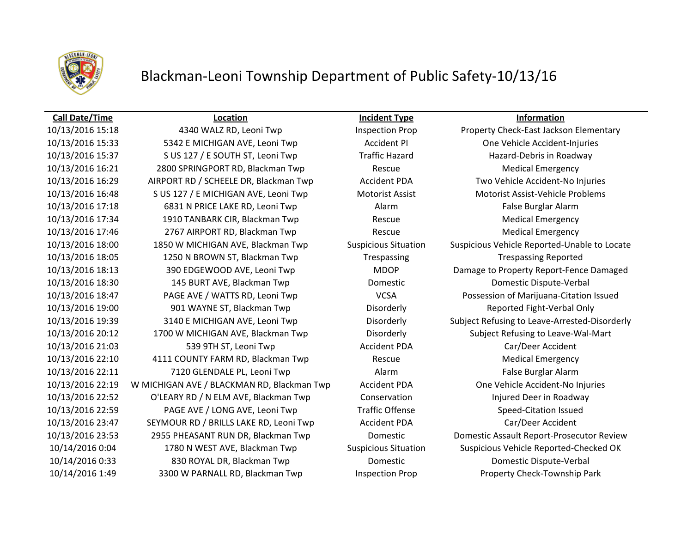

## Blackman-Leoni Township Department of Public Safety-10/13/16

### **Call Date/Time Location Incident Type Information**

10/13/2016 15:33 5342 E MICHIGAN AVE, Leoni Twp Accident PI One Vehicle Accident-Injuries 10/13/2016 15:37 S US 127 / E SOUTH ST, Leoni Twp Traffic Hazard Hazard-Debris in Roadway 10/13/2016 16:21 2800 SPRINGPORT RD, Blackman Twp Rescue Medical Emergency 10/13/2016 17:18 6831 N PRICE LAKE RD, Leoni Twp Alarm False Burglar Alarm 10/13/2016 17:34 1910 TANBARK CIR, Blackman Twp Rescue Medical Emergency 10/13/2016 17:46 2767 AIRPORT RD, Blackman Twp Rescue Medical Emergency 10/13/2016 18:05 1250 N BROWN ST, Blackman Twp Trespassing Trespassing Reported 10/13/2016 18:30 145 BURT AVE, Blackman Twp Domestic Domestic Dispute-Verbal 10/13/2016 19:00 901 WAYNE ST, Blackman Twp Disorderly Reported Fight-Verbal Only 10/13/2016 21:03 539 9TH ST, Leoni Twp Accident PDA Car/Deer Accident 10/13/2016 22:10 4111 COUNTY FARM RD, Blackman Twp Rescue Medical Emergency 10/13/2016 22:11 7120 GLENDALE PL, Leoni Twp Alarm False Burglar Alarm 10/13/2016 22:52 O'LEARY RD / N ELM AVE, Blackman Twp Conservation Injured Deer in Roadway 10/13/2016 22:59 PAGE AVE / LONG AVE, Leoni Twp Traffic Offense Speed-Citation Issued 10/13/2016 23:47 SEYMOUR RD / BRILLS LAKE RD, Leoni Twp Accident PDA Car/Deer Accident 10/14/2016 0:33 830 ROYAL DR, Blackman Twp Domestic Domestic Dispute-Verbal 10/14/2016 1:49 3300 W PARNALL RD, Blackman Twp Inspection Prop Property Check-Township Park

10/13/2016 15:18 4340 WALZ RD, Leoni Twp Inspection Prop Property Check-East Jackson Elementary 10/13/2016 16:29 AIRPORT RD / SCHEELE DR, Blackman Twp Accident PDA Two Vehicle Accident-No Injuries 10/13/2016 16:48 S US 127 / E MICHIGAN AVE, Leoni Twp Motorist Assist Motorist Assist-Vehicle Problems 10/13/2016 18:00 1850 W MICHIGAN AVE, Blackman Twp Suspicious Situation Suspicious Vehicle Reported-Unable to Locate 10/13/2016 18:13 390 EDGEWOOD AVE, Leoni Twp MDOP Damage to Property Report-Fence Damaged 10/13/2016 18:47 PAGE AVE / WATTS RD, Leoni Twp VCSA Possession of Marijuana-Citation Issued 10/13/2016 19:39 3140 E MICHIGAN AVE, Leoni Twp Disorderly Subject Refusing to Leave-Arrested-Disorderly 10/13/2016 20:12 1700 W MICHIGAN AVE, Blackman Twp Disorderly Subject Refusing to Leave-Wal-Mart 10/13/2016 22:19 W MICHIGAN AVE / BLACKMAN RD, Blackman Twp Accident PDA One Vehicle Accident-No Injuries 10/13/2016 23:53 2955 PHEASANT RUN DR, Blackman Twp Domestic Domestic Assault Report-Prosecutor Review 10/14/2016 0:04 1780 N WEST AVE, Blackman Twp Suspicious Situation Suspicious Vehicle Reported-Checked OK